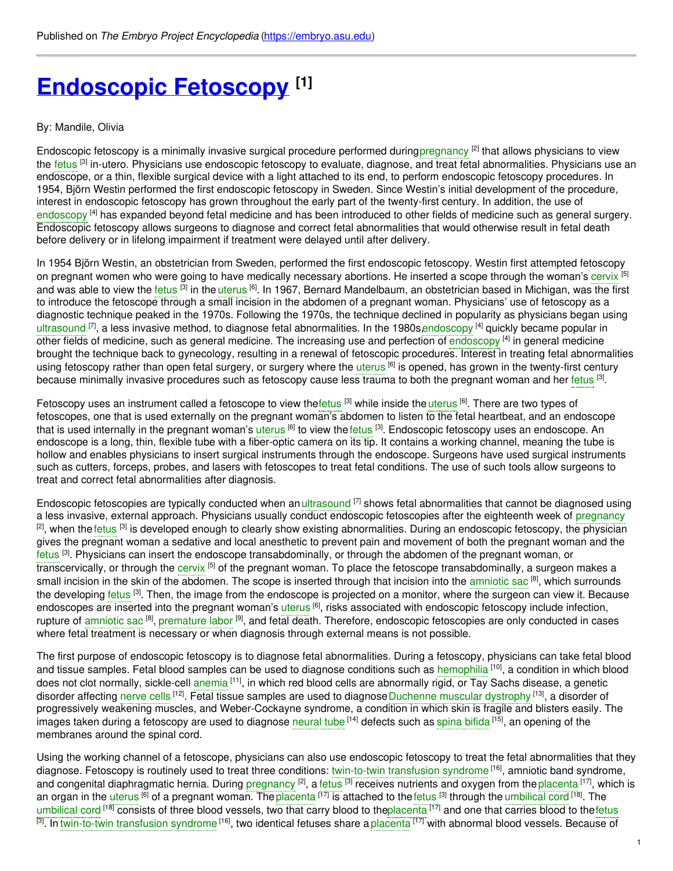# **[Endoscopic](https://embryo.asu.edu/pages/endoscopic-fetoscopy) Fetoscopy [1]**

### By: Mandile, Olivia

Endoscopic fetoscopy is a minimally invasive surgical procedure performed during[pregnancy](https://embryo.asu.edu/search?text=pregnancy) [2] that allows physicians to view the [fetus](https://embryo.asu.edu/search?text=fetus) <sup>[3]</sup> in-utero. Physicians use endoscopic fetoscopy to evaluate, diagnose, and treat fetal abnormalities. Physicians use an endoscope, or a thin, flexible surgical device with a light attached to its end, to perform endoscopic fetoscopy procedures. In 1954, Björn Westin performed the first endoscopic fetoscopy in Sweden. Since Westin's initial development of the procedure, interest in endoscopic fetoscopy has grown throughout the early part of the twenty-first century. In addition, the use of [endoscopy](https://embryo.asu.edu/search?text=endoscopy) <sup>[4]</sup> has expanded beyond fetal medicine and has been introduced to other fields of medicine such as general surgery. Endoscopic fetoscopy allows surgeons to diagnose and correct fetal abnormalities that would otherwise result in fetal death before delivery or in lifelong impairment if treatment were delayed until after delivery.

In 1954 Björn Westin, an obstetrician from Sweden, performed the first endoscopic fetoscopy. Westin first attempted fetoscopy on pregnant women who were going to have medically necessary abortions. He inserted a scope through the woman's [cervix](https://embryo.asu.edu/search?text=cervix) [5] and was able to view the [fetus](https://embryo.asu.edu/search?text=fetus) <sup>[3]</sup> in the [uterus](https://embryo.asu.edu/search?text=uterus) <sup>[6]</sup>. In 1967, Bernard Mandelbaum, an obstetrician based in Michigan, was the first to introduce the fetoscope through a small incision in the abdomen of a pregnant woman. Physicians' use of fetoscopy as a diagnostic technique peaked in the 1970s. Following the 1970s, the technique declined in popularity as physicians began using [ultrasound](https://embryo.asu.edu/search?text=ultrasound) <sup>[7]</sup>, a less invasive method, to diagnose fetal abnormalities. In the 1980s[,endoscopy](https://embryo.asu.edu/search?text=endoscopy) <sup>[4]</sup> quickly became popular in other fields of medicine, such as general medicine. The increasing use and perfection of [endoscopy](https://embryo.asu.edu/search?text=endoscopy) <sup>[4]</sup> in general medicine brought the technique back to gynecology, resulting in a renewal of fetoscopic procedures. Interest in treating fetal abnormalities using fetoscopy rather than open fetal surgery, or surgery where the [uterus](https://embryo.asu.edu/search?text=uterus) <sup>[6]</sup> is opened, has grown in the twenty-first century because minimally invasive procedures such as fetoscopy cause less trauma to both the pregnant woman and her [fetus](https://embryo.asu.edu/search?text=fetus) <sup>[3]</sup>.

Fetoscopy uses an instrument called a fetoscope to view the[fetus](https://embryo.asu.edu/search?text=fetus) [3] while inside the [uterus](https://embryo.asu.edu/search?text=uterus) <sup>[6]</sup>. There are two types of fetoscopes, one that is used externally on the pregnant woman's abdomen to listen to the fetal heartbeat, and an endoscope that is used internally in the pregnant woman's <mark>[uterus](https://embryo.asu.edu/search?text=uterus) <sup>[6]</sup> to</mark> view the [fetus](https://embryo.asu.edu/search?text=fetus) <sup>[3]</sup>. Endoscopic fetoscopy uses an endoscope. An endoscope is a long, thin, flexible tube with a fiber-optic camera on its tip. It contains a working channel, meaning the tube is hollow and enables physicians to insert surgical instruments through the endoscope. Surgeons have used surgical instruments such as cutters, forceps, probes, and lasers with fetoscopes to treat fetal conditions. The use of such tools allow surgeons to treat and correct fetal abnormalities after diagnosis.

Endoscopic fetoscopies are typically conducted when an [ultrasound](https://embryo.asu.edu/search?text=ultrasound) <sup>[7]</sup> shows fetal abnormalities that cannot be diagnosed using a less invasive, external approach. Physicians usually conduct endoscopic fetoscopies after the eighteenth week of [pregnancy](https://embryo.asu.edu/search?text=pregnancy) <sup>[2]</sup>, when the [fetus](https://embryo.asu.edu/search?text=fetus) <sup>[3]</sup> is developed enough to clearly show existing abnormalities. During an endoscopic fetoscopy, the physician gives the pregnant woman a sedative and local anesthetic to prevent pain and movement of both the pregnant woman and the [fetus](https://embryo.asu.edu/search?text=fetus) <sup>[3]</sup>. Physicians can insert the endoscope transabdominally, or through the abdomen of the pregnant woman, or transcervically, or through the [cervix](https://embryo.asu.edu/search?text=cervix) <sup>[5]</sup> of the pregnant woman. To place the fetoscope transabdominally, a surgeon makes a small incision in the skin of the abdomen. The scope is inserted through that incision into the [amniotic](https://embryo.asu.edu/search?text=amniotic%20sac) sac <sup>[8]</sup>, which surrounds the developing [fetus](https://embryo.asu.edu/search?text=fetus) <sup>[3]</sup>. Then, the image from the endoscope is projected on a monitor, where the surgeon can view it. Because endoscopes are inserted into the pregnant woman's [uterus](https://embryo.asu.edu/search?text=uterus) <sup>[6]</sup>, risks associated with endoscopic fetoscopy include infection, rupture of [amniotic](https://embryo.asu.edu/search?text=amniotic%20sac) sac <sup>[8]</sup>, [premature](https://embryo.asu.edu/search?text=premature%20labor) labor <sup>[9]</sup>, and fetal death. Therefore, endoscopic fetoscopies are only conducted in cases where fetal treatment is necessary or when diagnosis through external means is not possible.

The first purpose of endoscopic fetoscopy is to diagnose fetal abnormalities. During a fetoscopy, physicians can take fetal blood and tissue samples. Fetal blood samples can be used to diagnose conditions such as [hemophilia](https://embryo.asu.edu/search?text=hemophilia) <sup>[10]</sup>, a condition in which blood does not clot normally, sickle-cell [anemia](https://embryo.asu.edu/search?text=anemia) <sup>[11]</sup>, in which red blood cells are abnormally rigid, or Tay Sachs disease, a genetic disorder affecting [nerve](https://embryo.asu.edu/search?text=nerve%20cells) cells <sup>[12]</sup>. Fetal tissue samples are used to diagnose[Duchenne](https://embryo.asu.edu/search?text=Duchenne%20muscular%20dystrophy) muscular dystrophy <sup>[13]</sup>, a disorder of progressively weakening muscles, and Weber-Cockayne syndrome, a condition in which skin is fragile and blisters easily. The images taken during a fetoscopy are used to diagnose [neural](https://embryo.asu.edu/search?text=neural%20tube) tube <sup>[14]</sup> defects such as spina [bifida](https://embryo.asu.edu/search?text=spina%20bifida) <sup>[15]</sup>, an opening of the membranes around the spinal cord.

Using the working channel of a fetoscope, physicians can also use endoscopic fetoscopy to treat the fetal abnormalities that they diagnose. Fetoscopy is routinely used to treat three conditions: [twin-to-twin](https://embryo.asu.edu/search?text=twin-to-twin%20transfusion%20syndrome) transfusion syndrome <sup>[16]</sup>, amniotic band syndrome, and congenital diaphragmatic hernia. During [pregnancy](https://embryo.asu.edu/search?text=pregnancy) <sup>[2]</sup>, a [fetus](https://embryo.asu.edu/search?text=fetus) <sup>[3]</sup> receives nutrients and oxygen from the [placenta](https://embryo.asu.edu/search?text=placenta) <sup>[17]</sup>, which is an organ in the [uterus](https://embryo.asu.edu/search?text=uterus) <sup>[6]</sup> of a pregnant woman. The [placenta](https://embryo.asu.edu/search?text=placenta) <sup>[17]</sup> is attached to the [fetus](https://embryo.asu.edu/search?text=fetus) <sup>[3]</sup> through the [umbilical](https://embryo.asu.edu/search?text=umbilical%20cord) cord <sup>[18]</sup>. The [umbilical](https://embryo.asu.edu/search?text=umbilical%20cord) cord <sup>[18]</sup> consists of three blood vessels, two that carry blood to th[eplacenta](https://embryo.asu.edu/search?text=placenta) <sup>[17]</sup> and one that carries blood to the[fetus](https://embryo.asu.edu/search?text=fetus) <sup>[3]</sup>. In [twin-to-twin](https://embryo.asu.edu/search?text=twin-to-twin%20transfusion%20syndrome) transfusion syndrome <sup>[16]</sup>, two identical fetuses share a [placenta](https://embryo.asu.edu/search?text=placenta) <sup>[17]</sup> with abnormal blood vessels. Because of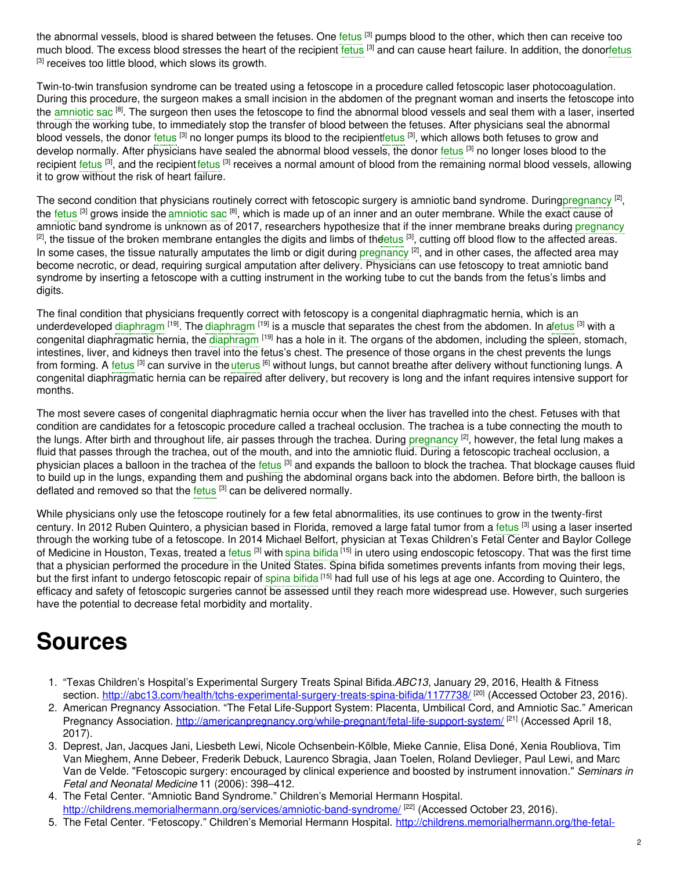the abnormal vessels, blood is shared between the [fetus](https://embryo.asu.edu/search?text=fetus)es. One fetus <sup>[3]</sup> pumps blood to the other, which then can receive too much blood. The excess blood stresses the heart of the recipient [fetus](https://embryo.asu.edu/search?text=fetus) <sup>[3]</sup> and can cause heart failure. In addition, the dono[rfetus](https://embryo.asu.edu/search?text=fetus) [3] receives too little blood, which slows its growth.

Twin-to-twin transfusion syndrome can be treated using a fetoscope in a procedure called fetoscopic laser photocoagulation. During this procedure, the surgeon makes a small incision in the abdomen of the pregnant woman and inserts the fetoscope into the [amniotic](https://embryo.asu.edu/search?text=amniotic%20sac) sac <sup>[8]</sup>. The surgeon then uses the fetoscope to find the abnormal blood vessels and seal them with a laser, inserted through the working tube, to immediately stop the transfer of blood between the fetuses. After physicians seal the abnormal blood vessels, the donor [fetus](https://embryo.asu.edu/search?text=fetus) [3] no longer pumps its blood to the recipient<mark>fetus [3]</mark>, which allows both fetuses to grow and develop normally. After physicians have sealed the abnormal blood vessels, the donor [fetus](https://embryo.asu.edu/search?text=fetus) <sup>[3]</sup> no longer loses blood to the recipient [fetus](https://embryo.asu.edu/search?text=fetus) <sup>[3]</sup>, and the recipient fetus <sup>[3]</sup> receives a normal amount of blood from the remaining normal blood vessels, allowing it to grow without the risk of heart failure.

The second condition that physicians routinely correct with fetoscopic surgery is amniotic band syndrome. During[pregnancy](https://embryo.asu.edu/search?text=pregnancy) <sup>[2]</sup>, the [fetus](https://embryo.asu.edu/search?text=fetus) <sup>[3]</sup> grows inside the [amniotic](https://embryo.asu.edu/search?text=amniotic%20sac) sac <sup>[8]</sup>, which is made up of an inner and an outer membrane. While the exact cause of amniotic band syndrome is unknown as of 2017, researchers hypothesize that if the inner membrane breaks during [pregnancy](https://embryo.asu.edu/search?text=pregnancy) <sup>[2]</sup>, the tissue of the broken membrane entangles the digits and limbs of the tus <sup>[3]</sup>, cutting off blood flow to the affected areas. In some cases, the tissue naturally amputates the limb or digit during [pregnancy](https://embryo.asu.edu/search?text=pregnancy)  $^{[2]}$ , and in other cases, the affected area may become necrotic, or dead, requiring surgical amputation after delivery. Physicians can use fetoscopy to treat amniotic band syndrome by inserting a fetoscope with a cutting instrument in the working tube to cut the bands from the fetus's limbs and digits.

The final condition that physicians frequently correct with fetoscopy is a congenital diaphragmatic hernia, which is an underdeveloped [diaphragm](https://embryo.asu.edu/search?text=diaphragm) <sup>[19]</sup>. The diaphragm <sup>[19]</sup> is a muscle that separates the chest from the abdomen. In [afetus](https://embryo.asu.edu/search?text=fetus) <sup>[3]</sup> with a congenital [diaphragm](https://embryo.asu.edu/search?text=diaphragm)atic hernia, the diaphragm <sup>[19]</sup> has a hole in it. The organs of the abdomen, including the spleen, stomach, intestines, liver, and kidneys then travel into the fetus's chest. The presence of those organs in the chest prevents the lungs from forming. A [fetus](https://embryo.asu.edu/search?text=fetus) <sup>[3]</sup> can survive in the [uterus](https://embryo.asu.edu/search?text=uterus) <sup>[6]</sup> without lungs, but cannot breathe after delivery without functioning lungs. A congenital diaphragmatic hernia can be repaired after delivery, but recovery is long and the infant requires intensive support for months.

The most severe cases of congenital diaphragmatic hernia occur when the liver has travelled into the chest. Fetuses with that condition are candidates for a fetoscopic procedure called a tracheal occlusion. The trachea is a tube connecting the mouth to the lungs. After birth and throughout life, air passes through the trachea. During [pregnancy](https://embryo.asu.edu/search?text=pregnancy) <sup>[2]</sup>, however, the fetal lung makes a fluid that passes through the trachea, out of the mouth, and into the amniotic fluid. During a fetoscopic tracheal occlusion, a physician places a balloon in the trachea of the [fetus](https://embryo.asu.edu/search?text=fetus) <sup>[3]</sup> and expands the balloon to block the trachea. That blockage causes fluid to build up in the lungs, expanding them and pushing the abdominal organs back into the abdomen. Before birth, the balloon is deflated and removed so that the [fetus](https://embryo.asu.edu/search?text=fetus) [3] can be delivered normally.

While physicians only use the fetoscope routinely for a few fetal abnormalities, its use continues to grow in the twenty-first century. In 2012 Ruben Quintero, a physician based in Florida, removed a large fatal tumor from a [fetus](https://embryo.asu.edu/search?text=fetus) <sup>[3]</sup> using a laser inserted through the working tube of a fetoscope. In 2014 Michael Belfort, physician at Texas Children's Fetal Center and Baylor College of Medicine in Houston, Texas, treated a [fetus](https://embryo.asu.edu/search?text=fetus) <sup>[3]</sup> with spina [bifida](https://embryo.asu.edu/search?text=spina%20bifida) <sup>[15]</sup> in utero using endoscopic fetoscopy. That was the first time that a physician performed the procedure in the United States. Spina bifida sometimes prevents infants from moving their legs, but the first infant to undergo fetoscopic repair of spina [bifida](https://embryo.asu.edu/search?text=spina%20bifida) <sup>[15]</sup> had full use of his legs at age one. According to Quintero, the efficacy and safety of fetoscopic surgeries cannot be assessed until they reach more widespread use. However, such surgeries have the potential to decrease fetal morbidity and mortality.

## **Sources**

- 1. "Texas Children's Hospital's Experimental Surgery Treats Spinal Bifida.*ABC13*, January 29, 2016, Health & Fitness section. <http://abc13.com/health/tchs-experimental-surgery-treats-spina-bifida/1177738/> [20] (Accessed October 23, 2016).
- 2. American Pregnancy Association. "The Fetal Life-Support System: Placenta, Umbilical Cord, and Amniotic Sac." American Pregnancy Association. <http://americanpregnancy.org/while-pregnant/fetal-life-support-system/> [21] (Accessed April 18, 2017).
- 3. Deprest, Jan, Jacques Jani, Liesbeth Lewi, Nicole Ochsenbein-Kölble, Mieke Cannie, Elisa Doné, Xenia Roubliova, Tim Van Mieghem, Anne Debeer, Frederik Debuck, Laurenco Sbragia, Jaan Toelen, Roland Devlieger, Paul Lewi, and Marc Van de Velde. "Fetoscopic surgery: encouraged by clinical experience and boosted by instrument innovation." *Seminars in Fetal and Neonatal Medicine* 11 (2006): 398–412.
- 4. The Fetal Center. "Amniotic Band Syndrome." Children's Memorial Hermann Hospital. <http://childrens.memorialhermann.org/services/amniotic-band-syndrome/><sup>[22]</sup> (Accessed October 23, 2016).
- 5. The Fetal Center. "Fetoscopy." Children's Memorial Hermann Hospital. [http://childrens.memorialhermann.org/the-fetal-](http://childrens.memorialhermann.org/the-fetal-center/fetoscopy/)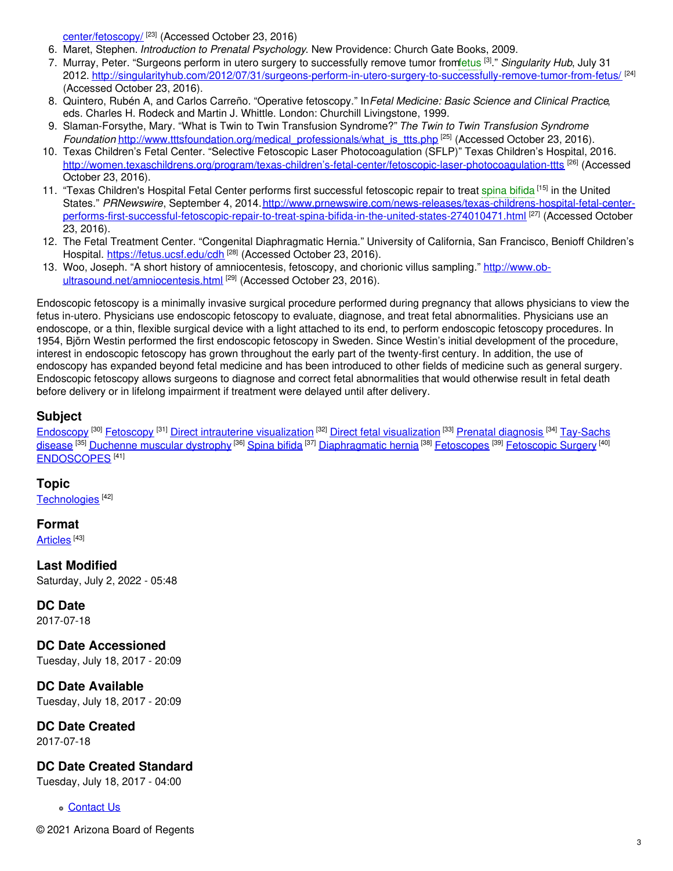center/fetoscopy/ [23] (Accessed October 23, 2016)

- 6. Maret, Stephen. *Introduction to Prenatal Psychology*. New Providence: Church Gate Books, 2009.
- 7. Murray, Peter. "Surgeons perform in utero surgery to successfully remove tumor fro[mfetus](https://embryo.asu.edu/search?text=fetus) [3] ." *Singularity Hub*, July 31 2012. <http://singularityhub.com/2012/07/31/surgeons-perform-in-utero-surgery-to-successfully-remove-tumor-from-fetus/> <sup>[24]</sup> (Accessed October 23, 2016).
- 8. Quintero, Rubén A, and Carlos Carreño. "Operative fetoscopy." In*Fetal Medicine: Basic Science and Clinical Practice*, eds. Charles H. Rodeck and Martin J. Whittle. London: Churchill Livingstone, 1999.
- 9. Slaman-Forsythe, Mary. "What is Twin to Twin Transfusion Syndrome?" *The Twin to Twin Transfusion Syndrome Foundation* [http://www.tttsfoundation.org/medical\\_professionals/what\\_is\\_ttts.php](http://www.tttsfoundation.org/medical_professionals/what_is_ttts.php) [25] (Accessed October 23, 2016).
- 10. Texas Children's Fetal Center. "Selective Fetoscopic Laser Photocoagulation (SFLP)" Texas Children's Hospital, 2016. [http://women.texaschildrens.org/program/texas-children's-fetal-center/fetoscopic-laser-photocoagulation-ttts](http://women.texaschildrens.org/program/texas-children%E2%80%99s-fetal-center/fetoscopic-laser-photocoagulation-ttts) <sup>[26]</sup> (Accessed October 23, 2016).
- 11. "Texas Children's Hospital Fetal Center performs first successful fetoscopic repair to treat [spina](https://embryo.asu.edu/search?text=spina%20bifida) bifida [15] in the United States." *PRNewswire*, September 4, 2014.http://www.prnewswire.com/news-releases/texas-childrens-hospital-fetal-center[performs-first-successful-fetoscopic-repair-to-treat-spina-bifida-in-the-united-states-274010471.html](http://www.prnewswire.com/news-releases/texas-childrens-hospital-fetal-center-performs-first-successful-fetoscopic-repair-to-treat-spina-bifida-in-the-united-states-274010471.html) [27] (Accessed October 23, 2016).
- 12. The Fetal Treatment Center. "Congenital Diaphragmatic Hernia." University of California, San Francisco, Benioff Children's Hospital. <https://fetus.ucsf.edu/cdh>.<sup>[28]</sup> (Accessed October 23, 2016).
- 13. Woo, Joseph. "A short history of amniocentesis, fetoscopy, and chorionic villus sampling." http://www.ob[ultrasound.net/amniocentesis.html](http://www.ob-ultrasound.net/amniocentesis.html) [29] (Accessed October 23, 2016).

Endoscopic fetoscopy is a minimally invasive surgical procedure performed during pregnancy that allows physicians to view the fetus in-utero. Physicians use endoscopic fetoscopy to evaluate, diagnose, and treat fetal abnormalities. Physicians use an endoscope, or a thin, flexible surgical device with a light attached to its end, to perform endoscopic fetoscopy procedures. In 1954, Björn Westin performed the first endoscopic fetoscopy in Sweden. Since Westin's initial development of the procedure, interest in endoscopic fetoscopy has grown throughout the early part of the twenty-first century. In addition, the use of endoscopy has expanded beyond fetal medicine and has been introduced to other fields of medicine such as general surgery. Endoscopic fetoscopy allows surgeons to diagnose and correct fetal abnormalities that would otherwise result in fetal death before delivery or in lifelong impairment if treatment were delayed until after delivery.

### **Subject**

[Endoscopy](https://embryo.asu.edu/library-congress-subject-headings/endoscopy) <sup>[30]</sup> [Fetoscopy](https://embryo.asu.edu/library-congress-subject-headings/fetoscopy) <sup>[31]</sup> Direct intrauterine [visualization](https://embryo.asu.edu/library-congress-subject-headings/direct-fetal-visualization) <sup>[32]</sup> Direct fetal visualization <sup>[33]</sup> Prenatal [diagnosis](https://embryo.asu.edu/library-congress-subject-headings/prenatal-diagnosis) <sup>[34]</sup> Tay-Sachs disease <sup>[35]</sup> [Duchenne](https://embryo.asu.edu/library-congress-subject-headings/duchenne-muscular-dystrophy) muscular dystrophy <sup>[36]</sup> [Spina](https://embryo.asu.edu/library-congress-subject-headings/spina-bifida) bifida <sup>[37]</sup> [Diaphragmatic](https://embryo.asu.edu/library-congress-subject-headings/tay-sachs-disease) hernia <sup>[38]</sup> [Fetoscopes](https://embryo.asu.edu/medical-subject-headings/fetoscopes) <sup>[39]</sup> [Fetoscopic](https://embryo.asu.edu/medical-subject-headings/fetoscopic-surgery) Surgery <sup>[40]</sup> [ENDOSCOPES](https://embryo.asu.edu/medical-subject-headings/endoscopes)<sup>[41]</sup>

**Topic**

[Technologies](https://embryo.asu.edu/topics/technologies) [42]

**Format**

[Articles](https://embryo.asu.edu/formats/articles) <sup>[43]</sup>

**Last Modified** Saturday, July 2, 2022 - 05:48

**DC Date**

2017-07-18

**DC Date Accessioned**

Tuesday, July 18, 2017 - 20:09

**DC Date Available** Tuesday, July 18, 2017 - 20:09

**DC Date Created** 2017-07-18

**DC Date Created Standard**

Tuesday, July 18, 2017 - 04:00

[Contact](https://embryo.asu.edu/contact) Us

© 2021 Arizona Board of Regents